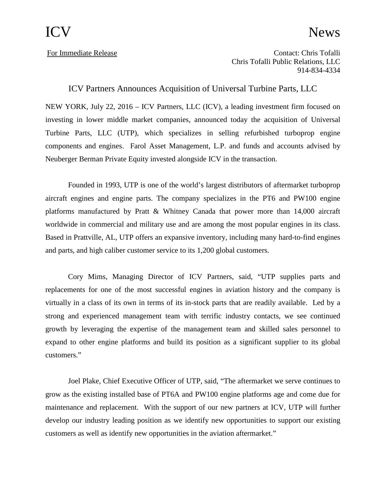## ICV News

For Immediate Release Contact: Chris Tofalli Chris Tofalli Public Relations, LLC 914-834-4334

ICV Partners Announces Acquisition of Universal Turbine Parts, LLC

NEW YORK, July 22, 2016 – ICV Partners, LLC (ICV), a leading investment firm focused on investing in lower middle market companies, announced today the acquisition of Universal Turbine Parts, LLC (UTP), which specializes in selling refurbished turboprop engine components and engines. Farol Asset Management, L.P. and funds and accounts advised by Neuberger Berman Private Equity invested alongside ICV in the transaction.

Founded in 1993, UTP is one of the world's largest distributors of aftermarket turboprop aircraft engines and engine parts. The company specializes in the PT6 and PW100 engine platforms manufactured by Pratt & Whitney Canada that power more than 14,000 aircraft worldwide in commercial and military use and are among the most popular engines in its class. Based in Prattville, AL, UTP offers an expansive inventory, including many hard-to-find engines and parts, and high caliber customer service to its 1,200 global customers.

Cory Mims, Managing Director of ICV Partners, said, "UTP supplies parts and replacements for one of the most successful engines in aviation history and the company is virtually in a class of its own in terms of its in-stock parts that are readily available. Led by a strong and experienced management team with terrific industry contacts, we see continued growth by leveraging the expertise of the management team and skilled sales personnel to expand to other engine platforms and build its position as a significant supplier to its global customers."

Joel Plake, Chief Executive Officer of UTP, said, "The aftermarket we serve continues to grow as the existing installed base of PT6A and PW100 engine platforms age and come due for maintenance and replacement. With the support of our new partners at ICV, UTP will further develop our industry leading position as we identify new opportunities to support our existing customers as well as identify new opportunities in the aviation aftermarket."